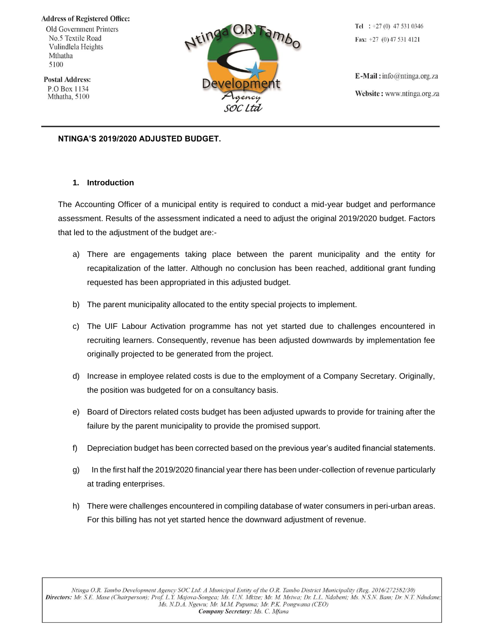#### **Address of Registered Office:**

Old Government Printers No.5 Textile Road Vulindlela Heights Mthatha 5100

**Postal Address:** P.O Box 1134 Mthatha, 5100



Tel :  $+27(0)$  47 531 0346 Fax:  $+27$  (0) 47 531 4121

 $E$ -Mail: info@ntinga.org.za Website: www.ntinga.org.za

#### **NTINGA'S 2019/2020 ADJUSTED BUDGET.**

#### **1. Introduction**

The Accounting Officer of a municipal entity is required to conduct a mid-year budget and performance assessment. Results of the assessment indicated a need to adjust the original 2019/2020 budget. Factors that led to the adjustment of the budget are:-

- a) There are engagements taking place between the parent municipality and the entity for recapitalization of the latter. Although no conclusion has been reached, additional grant funding requested has been appropriated in this adjusted budget.
- b) The parent municipality allocated to the entity special projects to implement.
- c) The UIF Labour Activation programme has not yet started due to challenges encountered in recruiting learners. Consequently, revenue has been adjusted downwards by implementation fee originally projected to be generated from the project.
- d) Increase in employee related costs is due to the employment of a Company Secretary. Originally, the position was budgeted for on a consultancy basis.
- e) Board of Directors related costs budget has been adjusted upwards to provide for training after the failure by the parent municipality to provide the promised support.
- f) Depreciation budget has been corrected based on the previous year's audited financial statements.
- g) In the first half the 2019/2020 financial year there has been under-collection of revenue particularly at trading enterprises.
- h) There were challenges encountered in compiling database of water consumers in peri-urban areas. For this billing has not yet started hence the downward adjustment of revenue.

Ntinga O.R. Tambo Development Agency SOC Ltd: A Municipal Entity of the O.R. Tambo District Municipality (Reg. 2016/272582/30) Directors: Mr. S.E. Mase (Chairperson); Prof. L.Y. Majova-Songca; Ms. U.N. Mkize; Mr. M. Msiwa; Dr. L.L. Ndabeni; Ms. N.S.N. Bam; Dr. N.T. Ndudane; Ms. N.D.A. Ngewu; Mr. M.M. Pupuma; Mr. P.K. Pongwana (CEO) Company Secretary: Ms. C. Mfana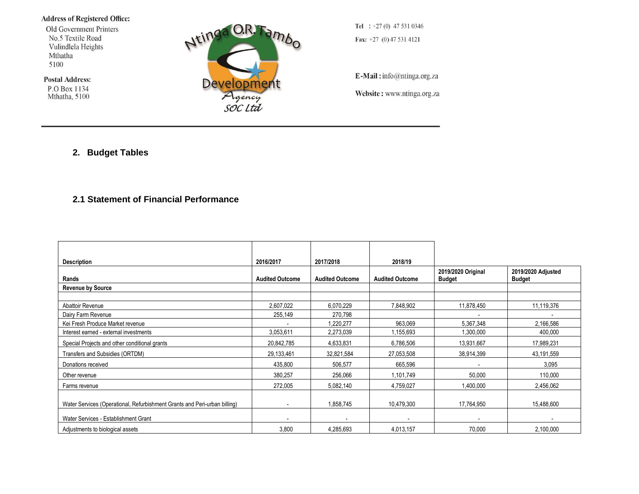#### **Address of Registered Office:**

Old Government Printers No.5 Textile Road Vulindlela Heights Mthatha 5100

**Postal Address:** 

P.O Box 1134<br>Mthatha, 5100



Tel :  $+27(0)$  47 531 0346 Fax:  $+27$  (0) 47 531 4121

E-Mail: info@ntinga.org.za

Website: www.ntinga.org.za

### **2. Budget Tables**

## **2.1 Statement of Financial Performance**

| <b>Description</b>                                                        | 2016/2017              | 2017/2018              | 2018/19                |                                     |                                     |
|---------------------------------------------------------------------------|------------------------|------------------------|------------------------|-------------------------------------|-------------------------------------|
| Rands                                                                     | <b>Audited Outcome</b> | <b>Audited Outcome</b> | <b>Audited Outcome</b> | 2019/2020 Original<br><b>Budget</b> | 2019/2020 Adjusted<br><b>Budget</b> |
| <b>Revenue by Source</b>                                                  |                        |                        |                        |                                     |                                     |
|                                                                           |                        |                        |                        |                                     |                                     |
| Abattoir Revenue                                                          | 2,607,022              | 6,070,229              | 7,848,902              | 11,878,450                          | 11,119,376                          |
| Dairy Farm Revenue                                                        | 255,149                | 270,798                |                        |                                     |                                     |
| Kei Fresh Produce Market revenue                                          |                        | 1,220,277              | 963,069                | 5,367,348                           | 2,166,586                           |
| Interest earned - external investments                                    | 3,053,611              | 2,273,039              | 1,155,693              | 1,300,000                           | 400,000                             |
| Special Projects and other conditional grants                             | 20,842,785             | 4,633,831              | 6,786,506              | 13,931,667                          | 17,989,231                          |
| Transfers and Subsidies (ORTDM)                                           | 29,133,461             | 32,821,584             | 27,053,508             | 38,914,399                          | 43,191,559                          |
| Donations received                                                        | 435,800                | 506,577                | 665,596                |                                     | 3,095                               |
| Other revenue                                                             | 380,257                | 256,066                | 1,101,749              | 50,000                              | 110,000                             |
| Farms revenue                                                             | 272,005                | 5,082,140              | 4,759,027              | 1,400,000                           | 2,456,062                           |
| Water Services (Operational, Refurbishment Grants and Peri-urban billing) |                        | 1,858,745              | 10,479,300             | 17,764,950                          | 15,488,600                          |
| Water Services - Establishment Grant                                      |                        | $\blacksquare$         |                        |                                     |                                     |
| Adjustments to biological assets                                          | 3,800                  | 4,285,693              | 4,013,157              | 70,000                              | 2,100,000                           |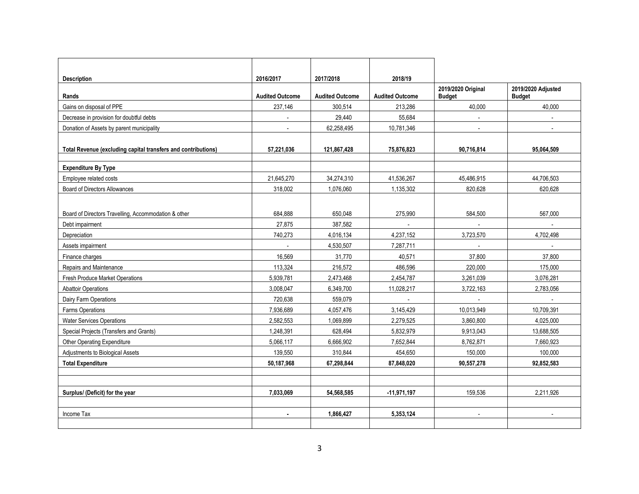| <b>Description</b>                                            | 2016/2017              | 2017/2018              | 2018/19                |                    |                    |
|---------------------------------------------------------------|------------------------|------------------------|------------------------|--------------------|--------------------|
|                                                               |                        |                        |                        | 2019/2020 Original | 2019/2020 Adjusted |
| Rands                                                         | <b>Audited Outcome</b> | <b>Audited Outcome</b> | <b>Audited Outcome</b> | <b>Budget</b>      | <b>Budget</b>      |
| Gains on disposal of PPE                                      | 237,146                | 300.514                | 213,286                | 40.000             | 40,000             |
| Decrease in provision for doubtful debts                      | $\overline{a}$         | 29.440                 | 55.684                 | $\sim$             | $\blacksquare$     |
| Donation of Assets by parent municipality                     |                        | 62,258,495             | 10,781,346             |                    |                    |
|                                                               |                        |                        |                        |                    |                    |
| Total Revenue (excluding capital transfers and contributions) | 57,221,036             | 121,867,428            | 75,876,823             | 90,716,814         | 95,064,509         |
|                                                               |                        |                        |                        |                    |                    |
| <b>Expenditure By Type</b>                                    |                        |                        |                        |                    |                    |
| Employee related costs                                        | 21,645,270             | 34.274.310             | 41.536.267             | 45.486.915         | 44.706.503         |
| <b>Board of Directors Allowances</b>                          | 318,002                | 1,076,060              | 1,135,302              | 820,628            | 620,628            |
|                                                               |                        |                        |                        |                    |                    |
| Board of Directors Travelling, Accommodation & other          | 684.888                | 650.048                | 275.990                | 584.500            | 567.000            |
| Debt impairment                                               | 27,875                 | 387,582                | $\sim$                 | $\sim$             | $\blacksquare$     |
| Depreciation                                                  | 740,273                | 4,016,134              | 4,237,152              | 3,723,570          | 4,702,498          |
| Assets impairment                                             | $\sim$                 | 4,530,507              | 7,287,711              |                    | $\sim$             |
| Finance charges                                               | 16,569                 | 31,770                 | 40,571                 | 37.800             | 37.800             |
| Repairs and Maintenance                                       | 113,324                | 216,572                | 486,596                | 220,000            | 175,000            |
| <b>Fresh Produce Market Operations</b>                        | 5,939,781              | 2,473,468              | 2,454,787              | 3.261.039          | 3,076,281          |
| <b>Abattoir Operations</b>                                    | 3,008,047              | 6,349,700              | 11,028,217             | 3,722,163          | 2,783,056          |
| Dairy Farm Operations                                         | 720,638                | 559,079                |                        |                    |                    |
| Farms Operations                                              | 7,936,689              | 4,057,476              | 3,145,429              | 10,013,949         | 10,709,391         |
| <b>Water Services Operations</b>                              | 2,582,553              | 1,069,899              | 2,279,525              | 3,860,800          | 4,025,000          |
| Special Projects (Transfers and Grants)                       | 1,248,391              | 628,494                | 5,832,979              | 9,913,043          | 13,688,505         |
| Other Operating Expenditure                                   | 5,066,117              | 6,666,902              | 7,652,844              | 8,762,871          | 7,660,923          |
| Adjustments to Biological Assets                              | 139,550                | 310,844                | 454,650                | 150,000            | 100,000            |
| <b>Total Expenditure</b>                                      | 50,187,968             | 67,298,844             | 87,848,020             | 90,557,278         | 92,852,583         |
|                                                               |                        |                        |                        |                    |                    |
|                                                               |                        |                        |                        |                    |                    |
| Surplus/ (Deficit) for the year                               | 7,033,069              | 54.568.585             | $-11,971,197$          | 159.536            | 2,211,926          |
|                                                               |                        |                        |                        |                    |                    |
| Income Tax                                                    |                        | 1,866,427              | 5,353,124              |                    |                    |
|                                                               |                        |                        |                        |                    |                    |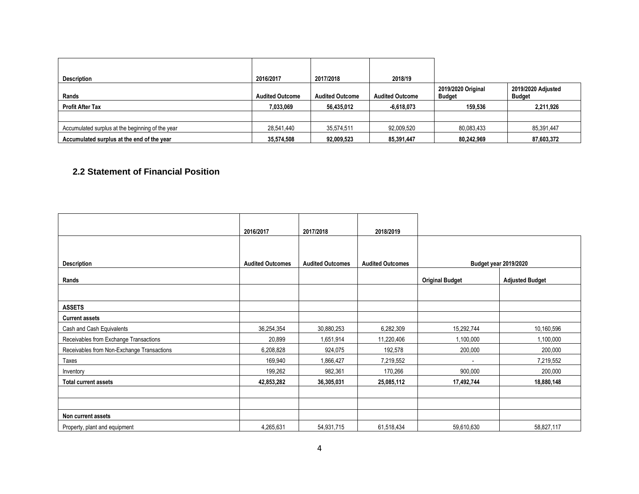| <b>Description</b>                               | 2016/2017              | 2017/2018              | 2018/19                |                                     |                                     |
|--------------------------------------------------|------------------------|------------------------|------------------------|-------------------------------------|-------------------------------------|
| Rands                                            | <b>Audited Outcome</b> | <b>Audited Outcome</b> | <b>Audited Outcome</b> | 2019/2020 Original<br><b>Budget</b> | 2019/2020 Adjusted<br><b>Budget</b> |
| <b>Profit After Tax</b>                          | 7,033,069              | 56,435,012             | $-6,618,073$           | 159.536                             | 2,211,926                           |
|                                                  |                        |                        |                        |                                     |                                     |
| Accumulated surplus at the beginning of the year | 28,541,440             | 35,574,511             | 92,009,520             | 80,083,433                          | 85,391,447                          |
| Accumulated surplus at the end of the year       | 35,574,508             | 92,009,523             | 85,391,447             | 80,242,969                          | 87,603,372                          |

## **2.2 Statement of Financial Position**

|                                            | 2016/2017               | 2017/2018               | 2018/2019               |                        |                              |
|--------------------------------------------|-------------------------|-------------------------|-------------------------|------------------------|------------------------------|
|                                            |                         |                         |                         |                        |                              |
| <b>Description</b>                         | <b>Audited Outcomes</b> | <b>Audited Outcomes</b> | <b>Audited Outcomes</b> |                        | <b>Budget year 2019/2020</b> |
| Rands                                      |                         |                         |                         | <b>Original Budget</b> | <b>Adjusted Budget</b>       |
|                                            |                         |                         |                         |                        |                              |
| <b>ASSETS</b>                              |                         |                         |                         |                        |                              |
| <b>Current assets</b>                      |                         |                         |                         |                        |                              |
| Cash and Cash Equivalents                  | 36,254,354              | 30,880,253              | 6,282,309               | 15,292,744             | 10,160,596                   |
| Receivables from Exchange Transactions     | 20,899                  | 1,651,914               | 11,220,406              | 1,100,000              | 1,100,000                    |
| Receivables from Non-Exchange Transactions | 6,208,828               | 924,075                 | 192,578                 | 200,000                | 200,000                      |
| Taxes                                      | 169,940                 | 1,866,427               | 7,219,552               |                        | 7,219,552                    |
| Inventory                                  | 199,262                 | 982,361                 | 170,266                 | 900,000                | 200,000                      |
| <b>Total current assets</b>                | 42,853,282              | 36,305,031              | 25,085,112              | 17,492,744             | 18,880,148                   |
|                                            |                         |                         |                         |                        |                              |
|                                            |                         |                         |                         |                        |                              |
| Non current assets                         |                         |                         |                         |                        |                              |
| Property, plant and equipment              | 4,265,631               | 54,931,715              | 61,518,434              | 59,610,630             | 58,827,117                   |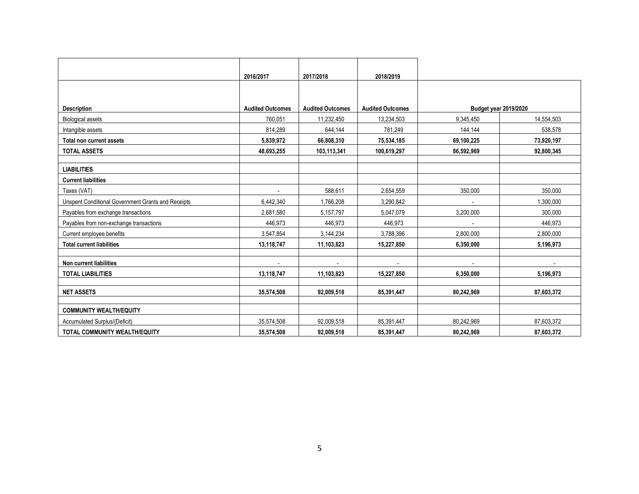|                                                    | 2016/2017               | 2017/2018               | 2018/2019               |                          |                              |
|----------------------------------------------------|-------------------------|-------------------------|-------------------------|--------------------------|------------------------------|
|                                                    |                         |                         |                         |                          |                              |
|                                                    |                         |                         |                         |                          |                              |
| <b>Description</b>                                 | <b>Audited Outcomes</b> | <b>Audited Outcomes</b> | <b>Audited Outcomes</b> |                          | <b>Budget year 2019/2020</b> |
| <b>Biological assets</b>                           | 760,051                 | 11,232,450              | 13,234,503              | 9,345,450                | 14,554,503                   |
| Intangible assets                                  | 814,289                 | 644,144                 | 781,249                 | 144,144                  | 538,578                      |
| Total non current assets                           | 5,839,972               | 66,808,310              | 75,534,185              | 69,100,225               | 73,920,197                   |
| <b>TOTAL ASSETS</b>                                | 48,693,255              | 103,113,341             | 100,619,297             | 86,592,969               | 92,800,345                   |
|                                                    |                         |                         |                         |                          |                              |
| <b>LIABILITIES</b>                                 |                         |                         |                         |                          |                              |
| <b>Current liabilities</b>                         |                         |                         |                         |                          |                              |
| Taxes (VAT)                                        |                         | 588,611                 | 2,654,559               | 350,000                  | 350,000                      |
| Unspent Conditional Government Grants and Receipts | 6,442,340               | 1,766,208               | 3,290,842               |                          | 1.300.000                    |
| Payables from exchange transactions                | 2,681,580               | 5,157,797               | 5,047,079               | 3,200,000                | 300,000                      |
| Payables from non-exchange transactions            | 446,973                 | 446,973                 | 446.973                 | $\overline{\phantom{a}}$ | 446.973                      |
| Current employee benefits                          | 3,547,854               | 3,144,234               | 3,788,396               | 2,800,000                | 2,800,000                    |
| <b>Total current liabilities</b>                   | 13,118,747              | 11,103,823              | 15,227,850              | 6.350.000                | 5,196,973                    |
|                                                    |                         |                         |                         |                          |                              |
| Non current liabilities                            |                         |                         |                         |                          |                              |
| <b>TOTAL LIABILITIES</b>                           | 13,118,747              | 11,103,823              | 15,227,850              | 6,350,000                | 5,196,973                    |
|                                                    |                         |                         |                         |                          |                              |
| <b>NET ASSETS</b>                                  | 35,574,508              | 92,009,518              | 85,391,447              | 80,242,969               | 87,603,372                   |
| <b>COMMUNITY WEALTH/EQUITY</b>                     |                         |                         |                         |                          |                              |
| <b>Accumulated Surplus/(Deficit)</b>               | 35,574,508              | 92,009,518              | 85,391,447              | 80.242.969               | 87,603,372                   |
| TOTAL COMMUNITY WEALTH/EQUITY                      | 35,574,508              | 92,009,518              | 85,391,447              | 80,242,969               | 87,603,372                   |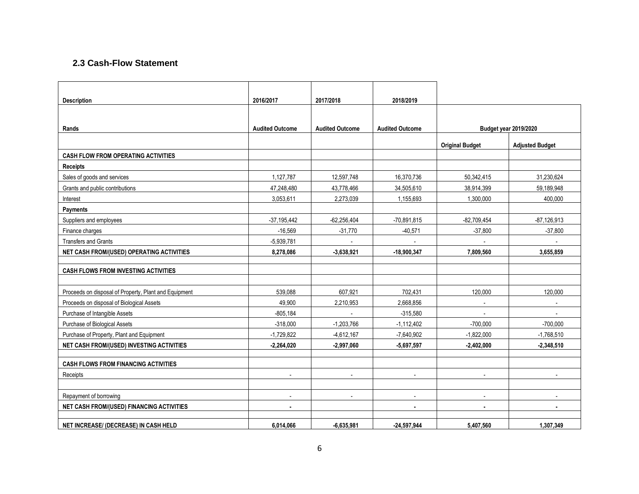## **2.3 Cash-Flow Statement**

| <b>Description</b>                                    | 2016/2017                | 2017/2018              | 2018/2019              |                        |                          |
|-------------------------------------------------------|--------------------------|------------------------|------------------------|------------------------|--------------------------|
|                                                       |                          |                        |                        |                        |                          |
| Rands                                                 | <b>Audited Outcome</b>   | <b>Audited Outcome</b> | <b>Audited Outcome</b> |                        | Budget year 2019/2020    |
|                                                       |                          |                        |                        |                        |                          |
|                                                       |                          |                        |                        | <b>Original Budget</b> | <b>Adjusted Budget</b>   |
| <b>CASH FLOW FROM OPERATING ACTIVITIES</b>            |                          |                        |                        |                        |                          |
| <b>Receipts</b>                                       |                          |                        |                        |                        |                          |
| Sales of goods and services                           | 1,127,787                | 12,597,748             | 16,370,736             | 50,342,415             | 31,230,624               |
| Grants and public contributions                       | 47,248,480               | 43,778,466             | 34,505,610             | 38,914,399             | 59,189,948               |
| Interest                                              | 3,053,611                | 2,273,039              | 1,155,693              | 1,300,000              | 400,000                  |
| Payments                                              |                          |                        |                        |                        |                          |
| Suppliers and employees                               | $-37,195,442$            | $-62,256,404$          | $-70,891,815$          | $-82,709,454$          | $-87,126,913$            |
| Finance charges                                       | $-16,569$                | $-31,770$              | $-40,571$              | $-37,800$              | $-37,800$                |
| <b>Transfers and Grants</b>                           | $-5,939,781$             |                        |                        |                        |                          |
| NET CASH FROM/(USED) OPERATING ACTIVITIES             | 8,278,086                | $-3,638,921$           | $-18.900.347$          | 7.809.560              | 3,655,859                |
|                                                       |                          |                        |                        |                        |                          |
| <b>CASH FLOWS FROM INVESTING ACTIVITIES</b>           |                          |                        |                        |                        |                          |
|                                                       |                          |                        |                        |                        |                          |
| Proceeds on disposal of Property, Plant and Equipment | 539,088                  | 607,921                | 702,431                | 120,000                | 120,000                  |
| Proceeds on disposal of Biological Assets             | 49.900                   | 2,210,953              | 2,668,856              | $\sim$                 | $\overline{\phantom{a}}$ |
| Purchase of Intangible Assets                         | $-805,184$               |                        | $-315,580$             |                        |                          |
| Purchase of Biological Assets                         | $-318,000$               | $-1,203,766$           | $-1,112,402$           | $-700,000$             | $-700,000$               |
| Purchase of Property, Plant and Equipment             | $-1,729,822$             | $-4,612,167$           | $-7,640,902$           | $-1,822,000$           | $-1,768,510$             |
| NET CASH FROM/(USED) INVESTING ACTIVITIES             | $-2,264,020$             | $-2,997,060$           | $-5,697,597$           | $-2,402,000$           | $-2,348,510$             |
|                                                       |                          |                        |                        |                        |                          |
| <b>CASH FLOWS FROM FINANCING ACTIVITIES</b>           |                          |                        |                        |                        |                          |
| Receipts                                              | $\overline{\phantom{a}}$ |                        |                        |                        |                          |
|                                                       |                          |                        |                        |                        |                          |
| Repayment of borrowing                                | $\blacksquare$           | $\blacksquare$         | $\blacksquare$         | $\blacksquare$         | $\overline{a}$           |
| NET CASH FROM/(USED) FINANCING ACTIVITIES             | $\blacksquare$           |                        | ٠                      | $\blacksquare$         | $\blacksquare$           |
| NET INCREASE/ (DECREASE) IN CASH HELD                 | 6,014,066                | $-6,635,981$           | $-24,597,944$          | 5,407,560              | 1,307,349                |
|                                                       |                          |                        |                        |                        |                          |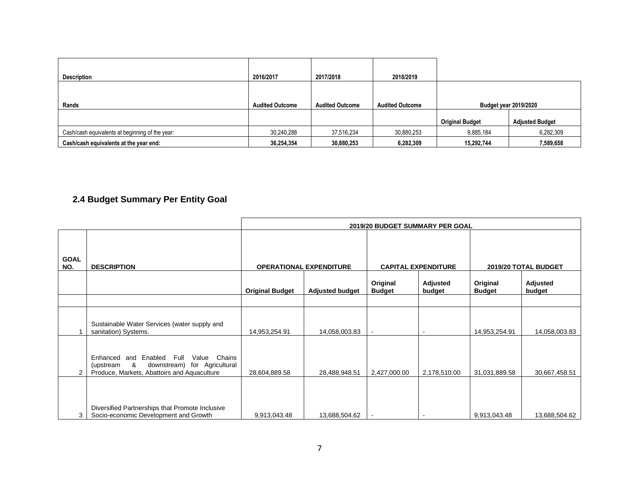| Description                                     | 2016/2017              | 2017/2018              | 2018/2019              |                              |                        |
|-------------------------------------------------|------------------------|------------------------|------------------------|------------------------------|------------------------|
| Rands                                           | <b>Audited Outcome</b> | <b>Audited Outcome</b> | <b>Audited Outcome</b> | <b>Budget year 2019/2020</b> |                        |
|                                                 |                        |                        |                        | <b>Original Budget</b>       | <b>Adjusted Budget</b> |
| Cash/cash equivalents at beginning of the year: | 30,240,288             | 37,516,234             | 30,880,253             | 9,885,184                    | 6,282,309              |
| Cash/cash equivalents at the year end:          | 36,254,354             | 30,880,253             | 6,282,309              | 15,292,744                   | 7,589,658              |

# **2.4 Budget Summary Per Entity Goal**

|                    |                                                                                                                                                               | 2019/20 BUDGET SUMMARY PER GOAL |                                |                           |                            |                           |                      |
|--------------------|---------------------------------------------------------------------------------------------------------------------------------------------------------------|---------------------------------|--------------------------------|---------------------------|----------------------------|---------------------------|----------------------|
| <b>GOAL</b><br>NO. | <b>DESCRIPTION</b>                                                                                                                                            |                                 | <b>OPERATIONAL EXPENDITURE</b> |                           | <b>CAPITAL EXPENDITURE</b> |                           | 2019/20 TOTAL BUDGET |
|                    |                                                                                                                                                               | <b>Original Budget</b>          | <b>Adjusted budget</b>         | Original<br><b>Budget</b> | Adjusted<br>budget         | Original<br><b>Budget</b> | Adjusted<br>budget   |
|                    |                                                                                                                                                               |                                 |                                |                           |                            |                           |                      |
|                    | Sustainable Water Services (water supply and<br>sanitation) Systems.                                                                                          | 14,953,254.91                   | 14,058,003.83                  | $\sim$                    | $\overline{\phantom{a}}$   | 14,953,254.91             | 14,058,003.83        |
| 2                  | and Enabled Full<br>Chains<br>Enhanced<br>Value<br>downstream) for Agricultural<br>8 <sup>8</sup><br>(upstream<br>Produce, Markets, Abattoirs and Aquaculture | 28,604,889.58                   | 28,488,948.51                  | 2,427,000.00              | 2,178,510.00               | 31,031,889.58             | 30,667,458.51        |
| 3                  | Diversified Partnerships that Promote Inclusive<br>Socio-economic Development and Growth                                                                      | 9,913,043.48                    | 13,688,504.62                  |                           |                            | 9,913,043.48              | 13,688,504.62        |